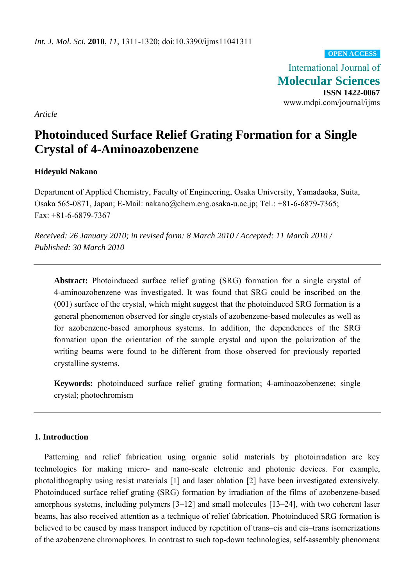**OPEN ACCESS**

International Journal of **Molecular Sciences ISSN 1422-0067**  www.mdpi.com/journal/ijms

*Article* 

# **Photoinduced Surface Relief Grating Formation for a Single Crystal of 4-Aminoazobenzene**

## **Hideyuki Nakano**

Department of Applied Chemistry, Faculty of Engineering, Osaka University, Yamadaoka, Suita, Osaka 565-0871, Japan; E-Mail: nakano@chem.eng.osaka-u.ac.jp; Tel.: +81-6-6879-7365; Fax: +81-6-6879-7367

*Received: 26 January 2010; in revised form: 8 March 2010 / Accepted: 11 March 2010 / Published: 30 March 2010* 

**Abstract:** Photoinduced surface relief grating (SRG) formation for a single crystal of 4-aminoazobenzene was investigated. It was found that SRG could be inscribed on the (001) surface of the crystal, which might suggest that the photoinduced SRG formation is a general phenomenon observed for single crystals of azobenzene-based molecules as well as for azobenzene-based amorphous systems. In addition, the dependences of the SRG formation upon the orientation of the sample crystal and upon the polarization of the writing beams were found to be different from those observed for previously reported crystalline systems.

**Keywords:** photoinduced surface relief grating formation; 4-aminoazobenzene; single crystal; photochromism

## **1. Introduction**

Patterning and relief fabrication using organic solid materials by photoirradation are key technologies for making micro- and nano-scale eletronic and photonic devices. For example, photolithography using resist materials [1] and laser ablation [2] have been investigated extensively. Photoinduced surface relief grating (SRG) formation by irradiation of the films of azobenzene-based amorphous systems, including polymers [3–12] and small molecules [13–24], with two coherent laser beams, has also received attention as a technique of relief fabrication. Photoinduced SRG formation is believed to be caused by mass transport induced by repetition of trans–cis and cis–trans isomerizations of the azobenzene chromophores. In contrast to such top-down technologies, self-assembly phenomena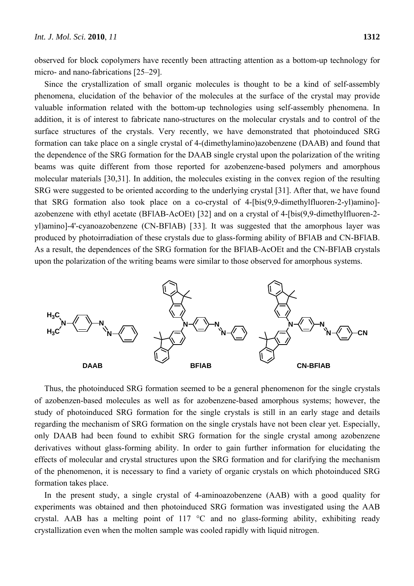observed for block copolymers have recently been attracting attention as a bottom-up technology for micro- and nano-fabrications [25–29].

Since the crystallization of small organic molecules is thought to be a kind of self-assembly phenomena, elucidation of the behavior of the molecules at the surface of the crystal may provide valuable information related with the bottom-up technologies using self-assembly phenomena. In addition, it is of interest to fabricate nano-structures on the molecular crystals and to control of the surface structures of the crystals. Very recently, we have demonstrated that photoinduced SRG formation can take place on a single crystal of 4-(dimethylamino)azobenzene (DAAB) and found that the dependence of the SRG formation for the DAAB single crystal upon the polarization of the writing beams was quite different from those reported for azobenzene-based polymers and amorphous molecular materials [30,31]. In addition, the molecules existing in the convex region of the resulting SRG were suggested to be oriented according to the underlying crystal [31]. After that, we have found that SRG formation also took place on a co-crystal of 4-[bis(9,9-dimethylfluoren-2-yl)amino] azobenzene with ethyl acetate (BFlAB-AcOEt) [32] and on a crystal of 4-[bis(9,9-dimethylfluoren-2 yl)amino]-4'-cyanoazobenzene (CN-BFlAB) [33]. It was suggested that the amorphous layer was produced by photoirradiation of these crystals due to glass-forming ability of BFlAB and CN-BFlAB. As a result, the dependences of the SRG formation for the BFlAB-AcOEt and the CN-BFlAB crystals upon the polarization of the writing beams were similar to those observed for amorphous systems.



Thus, the photoinduced SRG formation seemed to be a general phenomenon for the single crystals of azobenzen-based molecules as well as for azobenzene-based amorphous systems; however, the study of photoinduced SRG formation for the single crystals is still in an early stage and details regarding the mechanism of SRG formation on the single crystals have not been clear yet. Especially, only DAAB had been found to exhibit SRG formation for the single crystal among azobenzene derivatives without glass-forming ability. In order to gain further information for elucidating the effects of molecular and crystal structures upon the SRG formation and for clarifying the mechanism of the phenomenon, it is necessary to find a variety of organic crystals on which photoinduced SRG formation takes place.

In the present study, a single crystal of 4-aminoazobenzene (AAB) with a good quality for experiments was obtained and then photoinduced SRG formation was investigated using the AAB crystal. AAB has a melting point of 117  $\degree$ C and no glass-forming ability, exhibiting ready crystallization even when the molten sample was cooled rapidly with liquid nitrogen.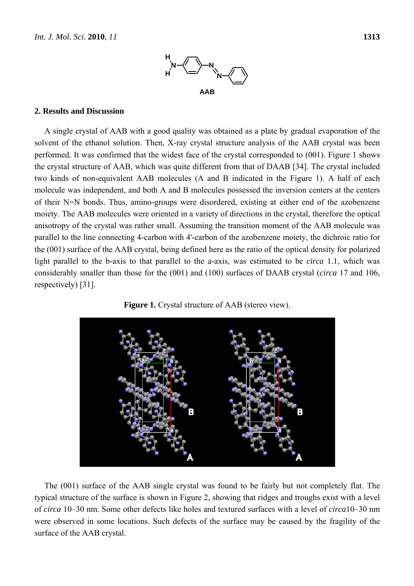

## **2. Results and Discussion**

A single crystal of AAB with a good quality was obtained as a plate by gradual evaporation of the solvent of the ethanol solution. Then, X-ray crystal structure analysis of the AAB crystal was been performed. It was confirmed that the widest face of the crystal corresponded to (001). Figure 1 shows the crystal structure of AAB, which was quite different from that of DAAB [34]. The crystal included two kinds of non-equivalent AAB molecules (A and B indicated in the Figure 1). A half of each molecule was independent, and both A and B molecules possessed the inversion centers at the centers of their N=N bonds. Thus, amino-groups were disordered, existing at either end of the azobenzene moiety. The AAB molecules were oriented in a variety of directions in the crystal, therefore the optical anisotropy of the crystal was rather small. Assuming the transition moment of the AAB molecule was parallel to the line connecting 4-carbon with 4'-carbon of the azobenzene moiety, the dichroic ratio for the (001) surface of the AAB crystal, being defined here as the ratio of the optical density for polarized light parallel to the b-axis to that parallel to the a-axis, was estimated to be *circa* 1.1, which was considerably smaller than those for the (001) and (100) surfaces of DAAB crystal (*circa* 17 and 106, respectively) [31].





The (001) surface of the AAB single crystal was found to be fairly but not completely flat. The typical structure of the surface is shown in Figure 2, showing that ridges and troughs exist with a level of *circa* 10–30 nm. Some other defects like holes and textured surfaces with a level of *circa*10–30 nm were observed in some locations. Such defects of the surface may be caused by the fragility of the surface of the AAB crystal.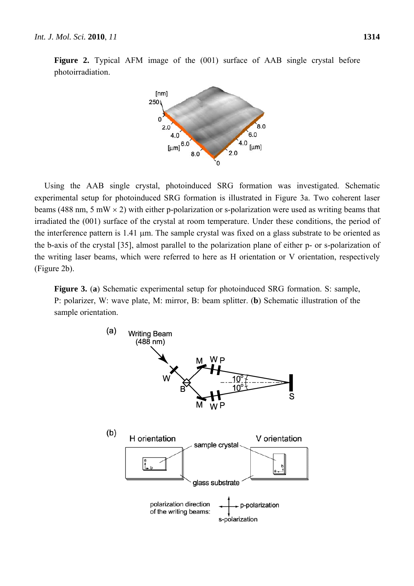

**Figure 2.** Typical AFM image of the (001) surface of AAB single crystal before photoirradiation.

Using the AAB single crystal, photoinduced SRG formation was investigated. Schematic experimental setup for photoinduced SRG formation is illustrated in Figure 3a. Two coherent laser beams (488 nm, 5 mW  $\times$  2) with either p-polarization or s-polarization were used as writing beams that irradiated the (001) surface of the crystal at room temperature. Under these conditions, the period of the interference pattern is  $1.41 \mu m$ . The sample crystal was fixed on a glass substrate to be oriented as the b-axis of the crystal [35], almost parallel to the polarization plane of either p- or s-polarization of the writing laser beams, which were referred to here as H orientation or V orientation, respectively (Figure 2b).

**Figure 3.** (**a**) Schematic experimental setup for photoinduced SRG formation. S: sample, P: polarizer, W: wave plate, M: mirror, B: beam splitter. (**b**) Schematic illustration of the sample orientation.

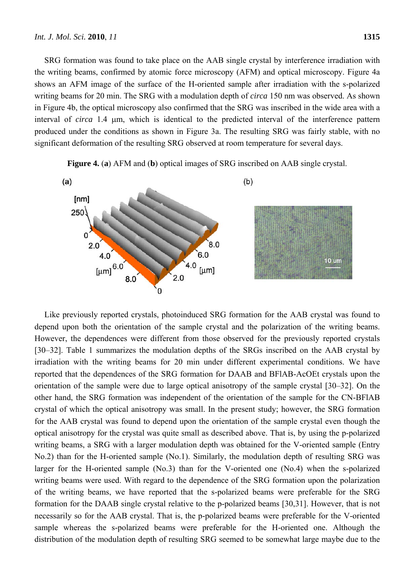SRG formation was found to take place on the AAB single crystal by interference irradiation with the writing beams, confirmed by atomic force microscopy (AFM) and optical microscopy. Figure 4a shows an AFM image of the surface of the H-oriented sample after irradiation with the s-polarized writing beams for 20 min. The SRG with a modulation depth of *circa* 150 nm was observed. As shown in Figure 4b, the optical microscopy also confirmed that the SRG was inscribed in the wide area with a interval of *circa* 1.4  $\mu$ m, which is identical to the predicted interval of the interference pattern produced under the conditions as shown in Figure 3a. The resulting SRG was fairly stable, with no significant deformation of the resulting SRG observed at room temperature for several days.

**Figure 4.** (**a**) AFM and (**b**) optical images of SRG inscribed on AAB single crystal.



Like previously reported crystals, photoinduced SRG formation for the AAB crystal was found to depend upon both the orientation of the sample crystal and the polarization of the writing beams. However, the dependences were different from those observed for the previously reported crystals [30–32]. Table 1 summarizes the modulation depths of the SRGs inscribed on the AAB crystal by irradiation with the writing beams for 20 min under different experimental conditions. We have reported that the dependences of the SRG formation for DAAB and BFlAB-AcOEt crystals upon the orientation of the sample were due to large optical anisotropy of the sample crystal [30–32]. On the other hand, the SRG formation was independent of the orientation of the sample for the CN-BFlAB crystal of which the optical anisotropy was small. In the present study; however, the SRG formation for the AAB crystal was found to depend upon the orientation of the sample crystal even though the optical anisotropy for the crystal was quite small as described above. That is, by using the p-polarized writing beams, a SRG with a larger modulation depth was obtained for the V-oriented sample (Entry No.2) than for the H-oriented sample (No.1). Similarly, the modulation depth of resulting SRG was larger for the H-oriented sample (No.3) than for the V-oriented one (No.4) when the s-polarized writing beams were used. With regard to the dependence of the SRG formation upon the polarization of the writing beams, we have reported that the s-polarized beams were preferable for the SRG formation for the DAAB single crystal relative to the p-polarized beams [30,31]. However, that is not necessarily so for the AAB crystal. That is, the p-polarized beams were preferable for the V-oriented sample whereas the s-polarized beams were preferable for the H-oriented one. Although the distribution of the modulation depth of resulting SRG seemed to be somewhat large maybe due to the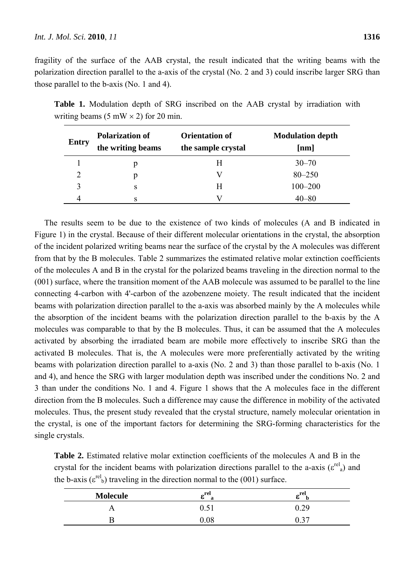fragility of the surface of the AAB crystal, the result indicated that the writing beams with the polarization direction parallel to the a-axis of the crystal (No. 2 and 3) could inscribe larger SRG than those parallel to the b-axis (No. 1 and 4).

| <b>Entry</b> | <b>Polarization of</b><br>the writing beams | <b>Orientation of</b><br>the sample crystal | <b>Modulation depth</b><br>$\left[\mathbf{n}\mathbf{m}\right]$ |
|--------------|---------------------------------------------|---------------------------------------------|----------------------------------------------------------------|
|              |                                             | Н                                           | $30 - 70$                                                      |
|              |                                             |                                             | $80 - 250$                                                     |
| 3            | S                                           | H                                           | $100 - 200$                                                    |
|              |                                             |                                             |                                                                |

**Table 1.** Modulation depth of SRG inscribed on the AAB crystal by irradiation with writing beams (5 mW  $\times$  2) for 20 min.

The results seem to be due to the existence of two kinds of molecules (A and B indicated in Figure 1) in the crystal. Because of their different molecular orientations in the crystal, the absorption of the incident polarized writing beams near the surface of the crystal by the A molecules was different from that by the B molecules. Table 2 summarizes the estimated relative molar extinction coefficients of the molecules A and B in the crystal for the polarized beams traveling in the direction normal to the (001) surface, where the transition moment of the AAB molecule was assumed to be parallel to the line connecting 4-carbon with 4'-carbon of the azobenzene moiety. The result indicated that the incident beams with polarization direction parallel to the a-axis was absorbed mainly by the A molecules while the absorption of the incident beams with the polarization direction parallel to the b-axis by the A molecules was comparable to that by the B molecules. Thus, it can be assumed that the A molecules activated by absorbing the irradiated beam are mobile more effectively to inscribe SRG than the activated B molecules. That is, the A molecules were more preferentially activated by the writing beams with polarization direction parallel to a-axis (No. 2 and 3) than those parallel to b-axis (No. 1 and 4), and hence the SRG with larger modulation depth was inscribed under the conditions No. 2 and 3 than under the conditions No. 1 and 4. Figure 1 shows that the A molecules face in the different direction from the B molecules. Such a difference may cause the difference in mobility of the activated molecules. Thus, the present study revealed that the crystal structure, namely molecular orientation in the crystal, is one of the important factors for determining the SRG-forming characteristics for the single crystals.

**Table 2.** Estimated relative molar extinction coefficients of the molecules A and B in the crystal for the incident beams with polarization directions parallel to the a-axis ( $\varepsilon^{\text{rel}}$ <sub>a</sub>) and the b-axis ( $\varepsilon^{\text{rel}}$ <sub>b</sub>) traveling in the direction normal to the (001) surface.

| <b>Molecule</b> | _rel<br>o<br>я | c    |
|-----------------|----------------|------|
|                 |                | 0.29 |
|                 | 08             |      |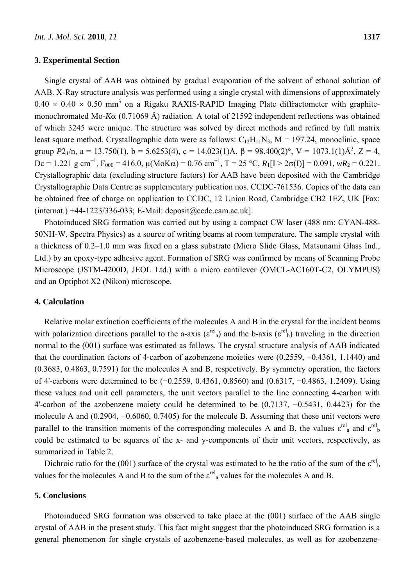#### **3. Experimental Section**

Single crystal of AAB was obtained by gradual evaporation of the solvent of ethanol solution of AAB. X-Ray structure analysis was performed using a single crystal with dimensions of approximately  $0.40 \times 0.40 \times 0.50$  mm<sup>3</sup> on a Rigaku RAXIS-RAPID Imaging Plate diffractometer with graphitemonochromated Mo-*K*α (0.71069 Å) radiation. A total of 21592 independent reflections was obtained of which 3245 were unique. The structure was solved by direct methods and refined by full matrix least square method. Crystallographic data were as follows:  $C_{12}H_{11}N_3$ ,  $M = 197.24$ , monoclinic, space group  $P2_1/n$ ,  $a = 13.750(1)$ ,  $b = 5.6253(4)$ ,  $c = 14.023(1)$ Å,  $\beta = 98.400(2)$ °,  $V = 1073.1(1)$ Å<sup>3</sup>,  $Z = 4$ , Dc = 1.221 g cm<sup>-1</sup>, F<sub>000</sub> = 416.0, μ(MoKα) = 0.76 cm<sup>-1</sup>, T = 25 °C, R<sub>1</sub>[I > 2σ(I)] = 0.091, *wR*<sub>2</sub> = 0.221. Crystallographic data (excluding structure factors) for AAB have been deposited with the Cambridge Crystallographic Data Centre as supplementary publication nos. CCDC-761536. Copies of the data can be obtained free of charge on application to CCDC, 12 Union Road, Cambridge CB2 1EZ, UK [Fax: (internat.) +44-1223/336-033; E-Mail: deposit@ccdc.cam.ac.uk].

Photoinduced SRG formation was carried out by using a compact CW laser (488 nm: CYAN-488- 50NH-W, Spectra Physics) as a source of writing beams at room temperature. The sample crystal with a thickness of 0.2–1.0 mm was fixed on a glass substrate (Micro Slide Glass, Matsunami Glass Ind., Ltd.) by an epoxy-type adhesive agent. Formation of SRG was confirmed by means of Scanning Probe Microscope (JSTM-4200D, JEOL Ltd.) with a micro cantilever (OMCL-AC160T-C2, OLYMPUS) and an Optiphot X2 (Nikon) microscope.

#### **4. Calculation**

Relative molar extinction coefficients of the molecules A and B in the crystal for the incident beams with polarization directions parallel to the a-axis ( $\varepsilon^{rel}$ <sub>a</sub>) and the b-axis ( $\varepsilon^{rel}$ <sub>b</sub>) traveling in the direction normal to the (001) surface was estimated as follows. The crystal structure analysis of AAB indicated that the coordination factors of 4-carbon of azobenzene moieties were (0.2559, −0.4361, 1.1440) and (0.3683, 0.4863, 0.7591) for the molecules A and B, respectively. By symmetry operation, the factors of 4'-carbons were determined to be (−0.2559, 0.4361, 0.8560) and (0.6317, −0.4863, 1.2409). Using these values and unit cell parameters, the unit vectors parallel to the line connecting 4-carbon with 4'-carbon of the azobenzene moiety could be determined to be (0.7137, −0.5431, 0.4423) for the molecule A and (0.2904, −0.6060, 0.7405) for the molecule B. Assuming that these unit vectors were parallel to the transition moments of the corresponding molecules A and B, the values  $\varepsilon^{\text{rel}}$  and  $\varepsilon^{\text{rel}}$  b could be estimated to be squares of the x- and y-components of their unit vectors, respectively, as summarized in Table 2.

Dichroic ratio for the (001) surface of the crystal was estimated to be the ratio of the sum of the  $\varepsilon^{rel}$ values for the molecules A and B to the sum of the  $\varepsilon^{rel}$  values for the molecules A and B.

#### **5. Conclusions**

Photoinduced SRG formation was observed to take place at the (001) surface of the AAB single crystal of AAB in the present study. This fact might suggest that the photoinduced SRG formation is a general phenomenon for single crystals of azobenzene-based molecules, as well as for azobenzene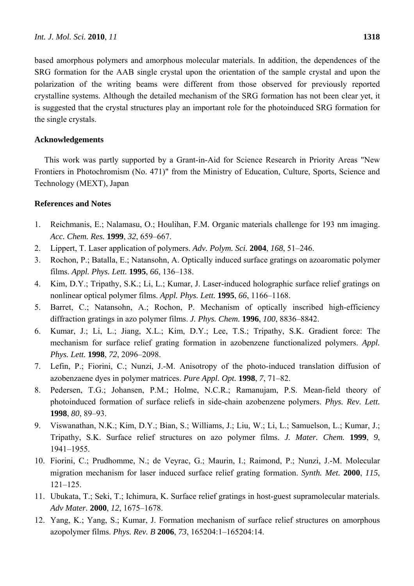based amorphous polymers and amorphous molecular materials. In addition, the dependences of the SRG formation for the AAB single crystal upon the orientation of the sample crystal and upon the polarization of the writing beams were different from those observed for previously reported crystalline systems. Although the detailed mechanism of the SRG formation has not been clear yet, it is suggested that the crystal structures play an important role for the photoinduced SRG formation for the single crystals.

## **Acknowledgements**

This work was partly supported by a Grant-in-Aid for Science Research in Priority Areas "New Frontiers in Photochromism (No. 471)" from the Ministry of Education, Culture, Sports, Science and Technology (MEXT), Japan

# **References and Notes**

- 1. Reichmanis, E.; Nalamasu, O.; Houlihan, F.M. Organic materials challenge for 193 nm imaging. *Acc. Chem. Res.* **1999**, *32*, 659–667.
- 2. Lippert, T. Laser application of polymers. *Adv. Polym. Sci.* **2004**, *168*, 51–246.
- 3. Rochon, P.; Batalla, E.; Natansohn, A. Optically induced surface gratings on azoaromatic polymer films. *Appl. Phys. Lett.* **1995**, *66*, 136–138.
- 4. Kim, D.Y.; Tripathy, S.K.; Li, L.; Kumar, J. Laser-induced holographic surface relief gratings on nonlinear optical polymer films. *Appl. Phys. Lett.* **1995**, *66*, 1166–1168.
- 5. Barret, C.; Natansohn, A.; Rochon, P. Mechanism of optically inscribed high-efficiency diffraction gratings in azo polymer films. *J. Phys. Chem.* **1996**, *100*, 8836–8842.
- 6. Kumar, J.; Li, L.; Jiang, X.L.; Kim, D.Y.; Lee, T.S.; Tripathy, S.K. Gradient force: The mechanism for surface relief grating formation in azobenzene functionalized polymers. *Appl. Phys. Lett.* **1998**, *72*, 2096–2098.
- 7. Lefin, P.; Fiorini, C.; Nunzi, J.-M. Anisotropy of the photo-induced translation diffusion of azobenzaene dyes in polymer matrices. *Pure Appl. Opt.* **1998**, *7*, 71–82.
- 8. Pedersen, T.G.; Johansen, P.M.; Holme, N.C.R.; Ramanujam, P.S. Mean-field theory of photoinduced formation of surface reliefs in side-chain azobenzene polymers. *Phys. Rev. Lett.* **1998**, *80*, 89–93.
- 9. Viswanathan, N.K.; Kim, D.Y.; Bian, S.; Williams, J.; Liu, W.; Li, L.; Samuelson, L.; Kumar, J.; Tripathy, S.K. Surface relief structures on azo polymer films. *J. Mater. Chem.* **1999**, *9*, 1941–1955.
- 10. Fiorini, C.; Prudhomme, N.; de Veyrac, G.; Maurin, I.; Raimond, P.; Nunzi, J.-M. Molecular migration mechanism for laser induced surface relief grating formation. *Synth. Met.* **2000**, *115*, 121–125.
- 11. Ubukata, T.; Seki, T.; Ichimura, K. Surface relief gratings in host-guest supramolecular materials. *Adv Mater.* **2000**, *12*, 1675–1678.
- 12. Yang, K.; Yang, S.; Kumar, J. Formation mechanism of surface relief structures on amorphous azopolymer films. *Phys. Rev. B* **2006**, *73*, 165204:1–165204:14.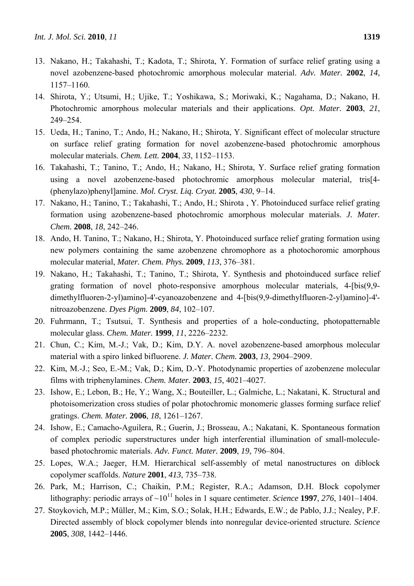- 13. Nakano, H.; Takahashi, T.; Kadota, T.; Shirota, Y. Formation of surface relief grating using a novel azobenzene-based photochromic amorphous molecular material. *Adv. Mater.* **2002**, *14*, 1157–1160.
- 14. Shirota, Y.; Utsumi, H.; Ujike, T.; Yoshikawa, S.; Moriwaki, K.; Nagahama, D.; Nakano, H. Photochromic amorphous molecular materials and their applications. *Opt. Mater.* **2003**, *21*, 249–254.
- 15. Ueda, H.; Tanino, T.; Ando, H.; Nakano, H.; Shirota, Y. Significant effect of molecular structure on surface relief grating formation for novel azobenzene-based photochromic amorphous molecular materials. *Chem. Lett.* **2004**, *33*, 1152–1153.
- 16. Takahashi, T.; Tanino, T.; Ando, H.; Nakano, H.; Shirota, Y. Surface relief grating formation using a novel azobenzene-based photochromic amorphous molecular material, tris[4- (phenylazo)phenyl]amine. *Mol. Cryst. Liq. Cryat.* **2005**, *430*, 9–14.
- 17. Nakano, H.; Tanino, T.; Takahashi, T.; Ando, H.; Shirota , Y. Photoinduced surface relief grating formation using azobenzene-based photochromic amorphous molecular materials. *J. Mater. Chem.* **2008**, *18*, 242–246.
- 18. Ando, H. Tanino, T.; Nakano, H.; Shirota, Y. Photoinduced surface relief grating formation using new polymers containing the same azobenzene chromophore as a photochoromic amorphous molecular material, *Mater. Chem. Phys.* **2009**, *113*, 376–381.
- 19. Nakano, H.; Takahashi, T.; Tanino, T.; Shirota, Y. Synthesis and photoinduced surface relief grating formation of novel photo-responsive amorphous molecular materials, 4-[bis(9,9 dimethylfluoren-2-yl)amino]-4'-cyanoazobenzene and 4-[bis(9,9-dimethylfluoren-2-yl)amino]-4' nitroazobenzene. *Dyes Pigm.* **2009**, *84*, 102–107.
- 20. Fuhrmann, T.; Tsutsui, T. Synthesis and properties of a hole-conducting, photopatternable molecular glass. *Chem. Mater.* **1999**, *11*, 2226–2232.
- 21. Chun, C.; Kim, M.-J.; Vak, D.; Kim, D.Y. A. novel azobenzene-based amorphous molecular material with a spiro linked bifluorene. *J. Mater. Chem.* **2003**, *13*, 2904–2909.
- 22. Kim, M.-J.; Seo, E.-M.; Vak, D.; Kim, D.-Y. Photodynamic properties of azobenzene molecular films with triphenylamines. *Chem. Mater.* **2003**, *15*, 4021–4027.
- 23. Ishow, E.; Lebon, B.; He, Y.; Wang, X.; Bouteiller, L.; Galmiche, L.; Nakatani, K. Structural and photoisomerization cross studies of polar photochromic monomeric glasses forming surface relief gratings. *Chem. Mater.* **2006**, *18*, 1261–1267.
- 24. Ishow, E.; Camacho-Aguilera, R.; Guerin, J.; Brosseau, A.; Nakatani, K. Spontaneous formation of complex periodic superstructures under high interferential illumination of small-moleculebased photochromic materials. *Adv. Funct. Mater.* **2009**, *19*, 796–804.
- 25. Lopes, W.A.; Jaeger, H.M. Hierarchical self-assembly of metal nanostructures on diblock copolymer scaffolds. *Nature* **2001**, *413*, 735–738.
- 26. Park, M.; Harrison, C.; Chaikin, P.M.; Register, R.A.; Adamson, D.H. Block copolymer lithography: periodic arrays of  $\sim 10^{11}$  holes in 1 square centimeter. *Science* **1997**, 276, 1401–1404.
- 27. Stoykovich, M.P.; Müller, M.; Kim, S.O.; Solak, H.H.; Edwards, E.W.; de Pablo, J.J.; Nealey, P.F. Directed assembly of block copolymer blends into nonregular device-oriented structure. *Science* **2005**, *308*, 1442–1446.